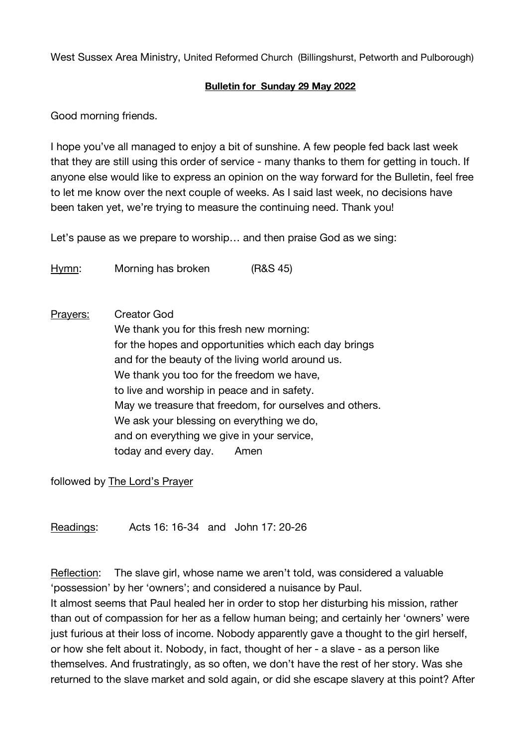West Sussex Area Ministry, United Reformed Church (Billingshurst, Petworth and Pulborough)

## **Bulletin for Sunday 29 May 2022**

Good morning friends.

I hope you've all managed to enjoy a bit of sunshine. A few people fed back last week that they are still using this order of service - many thanks to them for getting in touch. If anyone else would like to express an opinion on the way forward for the Bulletin, feel free to let me know over the next couple of weeks. As I said last week, no decisions have been taken yet, we're trying to measure the continuing need. Thank you!

Let's pause as we prepare to worship… and then praise God as we sing:

Hymn: Morning has broken (R&S 45)

Prayers: Creator God We thank you for this fresh new morning: for the hopes and opportunities which each day brings and for the beauty of the living world around us. We thank you too for the freedom we have, to live and worship in peace and in safety. May we treasure that freedom, for ourselves and others. We ask your blessing on everything we do, and on everything we give in your service, today and every day. Amen

followed by The Lord's Prayer

Readings: Acts 16: 16-34 and John 17: 20-26

Reflection: The slave girl, whose name we aren't told, was considered a valuable 'possession' by her 'owners'; and considered a nuisance by Paul. It almost seems that Paul healed her in order to stop her disturbing his mission, rather than out of compassion for her as a fellow human being; and certainly her 'owners' were just furious at their loss of income. Nobody apparently gave a thought to the girl herself, or how she felt about it. Nobody, in fact, thought of her - a slave - as a person like themselves. And frustratingly, as so often, we don't have the rest of her story. Was she returned to the slave market and sold again, or did she escape slavery at this point? After